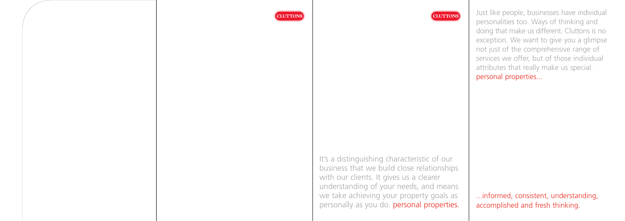It's a distinguishing characteristic of our business that we build close relationships with our clients. It gives us a clearer understanding of your needs, and means we take achieving your property goals as personally as you do. personal properties.

...informed, consistent, understanding, accomplished and fresh thinking.







Just like people, businesses have individual personalities too. Ways of thinking and doing that make us different. Cluttons is no exception. We want to give you a glimpse not just of the comprehensive range of services we offer, but of those individual attributes that really make us special. personal properties...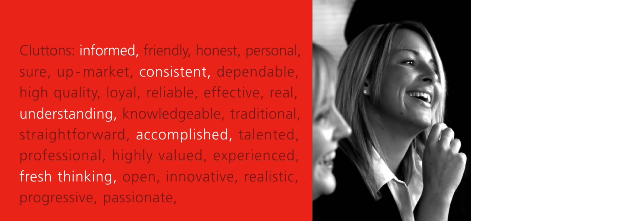Cluttons: informed, friendly, honest, personal, sure, up-market, consistent, dependable, high quality, loyal, reliable, effective, real, understanding, knowledgeable, traditional, straightforward, accomplished, talented, professional, highly valued, experienced, fresh thinking, open, innovative, realistic, progressive, passionate,

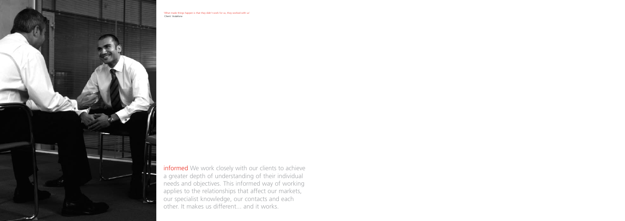informed We work closely with our clients to achieve a greater depth of understanding of their individual needs and objectives. This informed way of working applies to the relationships that affect our markets, our specialist knowledge, our contacts and each other. It makes us different... and it works.



'What made things happen is that they didn't work for us, they worked with us' Client: Vodafone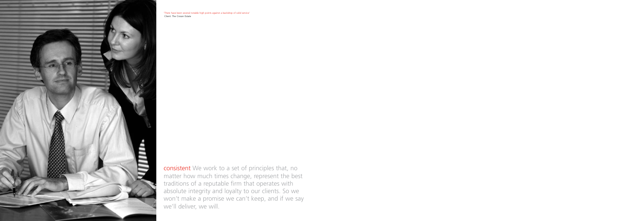consistent We work to a set of principles that, no matter how much times change, represent the best traditions of a reputable firm that operates with absolute integrity and loyalty to our clients. So we won't make a promise we can't keep, and if we say we'll deliver, we will.



'There have been several notable high points against a backdrop of solid service' Client: The Crown Estate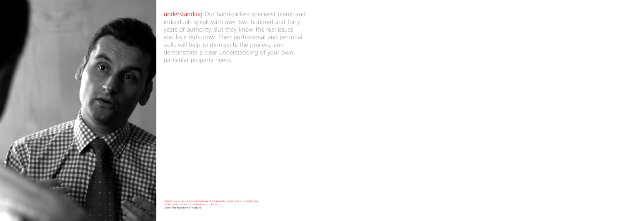

understanding Our hand-picked specialist teams and individuals speak with over two hundred and forty years of authority. But they know the real issues you face right now. Their professional and personal skills will help to de-mystify the process, and demonstrate a clear understanding of your own particular property needs.

'Cluttons combines a superior knowledge of the property market with an understanding of the needs and aims of the Bank and its clients' Client: The Royal Bank of Scotland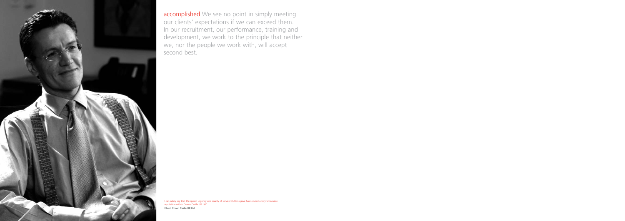

accomplished We see no point in simply meeting our clients' expectations if we can exceed them. In our recruitment, our performance, training and development, we work to the principle that neither we, nor the people we work with, will accept second best.

'I can safely say that the speed, urgency and quality of service Cluttons gave has secured a very favourable reputation within Crown Castle UK Ltd' Client: Crown Castle UK Ltd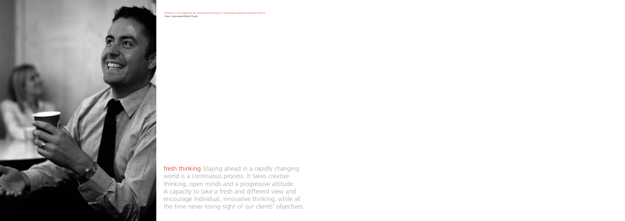fresh thinking Staying ahead in a rapidly changing world is a continuous process. It takes creative thinking, open minds and a progressive attitude. A capacity to take a fresh and different view and encourage individual, innovative thinking, while all the time never losing sight of our clients' objectives.



'Cluttons is not hidebound by conventional thinking in maximising property investment returns' Client: Associated British Foods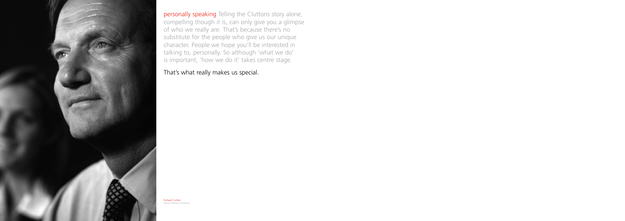

personally speaking Telling the Cluttons story alone, compelling though it is, can only give you a glimpse of who we really are. That's because there's no substitute for the people who give us our unique character. People we hope you'll be interested in talking to, personally. So although 'what we do' is important, 'how we do it' takes centre stage.

That's what really makes us special.

Richard Cotton Senior Partner Cluttons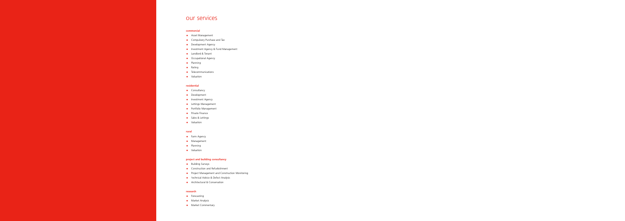# our services

# **commercial**

- Asset Management
- Compulsory Purchase and Tax
- Development Agency
- Investment Agency & Fund Management
- Landlord & Tenant
- Occupational Agency
- Planning
- Rating
- Telecommunications
- Valuation

### **residential**

- Consultancy
- Development
- Investment Agency
- Lettings Management
- Portfolio Management
- Private Finance
- Sales & Lettings
- Valuation

## **rural**

- Farm Agency
- Management
- Planning
- Valuation

# **project and building consultancy**

- Building Surveys
- Construction and Refurbishment
- Project Management and Construction Monitoring
- **•** Technical Advice & Defect Analysis
- Architectural & Conservation

# **research**

- Forecasting
- Market Analysis
- Market Commentary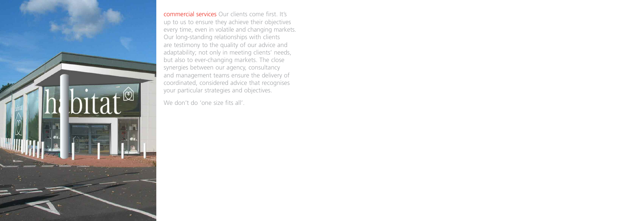

commercial services Our clients come first. It's up to us to ensure they achieve their objectives every time, even in volatile and changing markets. Our long-standing relationships with clients are testimony to the quality of our advice and adaptability; not only in meeting clients' needs, but also to ever-changing markets. The close synergies between our agency, consultancy and management teams ensure the delivery of coordinated, considered advice that recognises your particular strategies and objectives.

We don't do 'one size fits all'.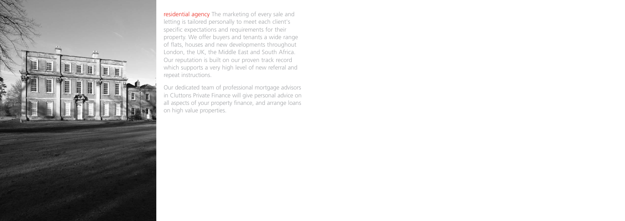

residential agency The marketing of every sale and letting is tailored personally to meet each client's specific expectations and requirements for their property. We offer buyers and tenants a wide range of flats, houses and new developments throughout London, the UK, the Middle East and South Africa. Our reputation is built on our proven track record which supports a very high level of new referral and repeat instructions.

Our dedicated team of professional mortgage advisors in Cluttons Private Finance will give personal advice on all aspects of your property finance, and arrange loans on high value properties.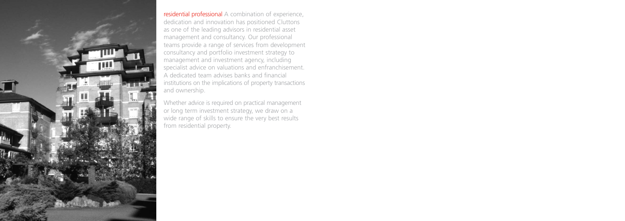

residential professional A combination of experience, dedication and innovation has positioned Cluttons as one of the leading advisors in residential asset management and consultancy. Our professional teams provide a range of services from development consultancy and portfolio investment strategy to management and investment agency, including specialist advice on valuations and enfranchisement. A dedicated team advises banks and financial institutions on the implications of property transactions and ownership.

Whether advice is required on practical management or long term investment strategy, we draw on a wide range of skills to ensure the very best results from residential property.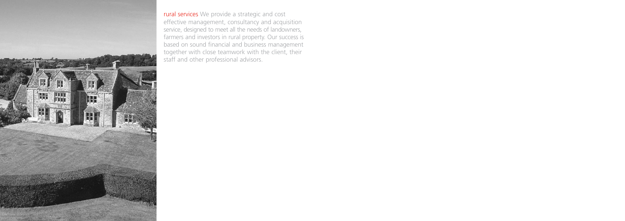

rural services We provide a strategic and cost effective management, consultancy and acquisition service, designed to meet all the needs of landowners, farmers and investors in rural property. Our success is based on sound financial and business management together with close teamwork with the client, their staff and other professional advisors.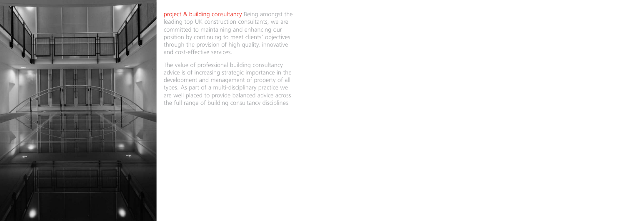

project & building consultancy Being amongst the leading top UK construction consultants, we are committed to maintaining and enhancing our position by continuing to meet clients' objectives through the provision of high quality, innovative and cost-effective services.

The value of professional building consultancy advice is of increasing strategic importance in the development and management of property of all types. As part of a multi-disciplinary practice we are well placed to provide balanced advice across the full range of building consultancy disciplines.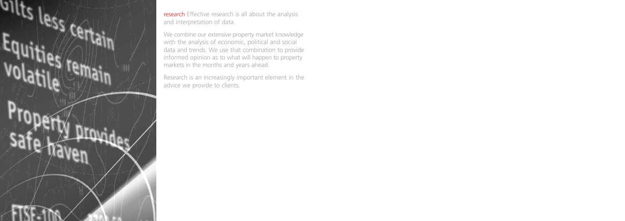

research Effective research is all about the analysis and interpretation of data.

We combine our extensive property market knowledge with the analysis of economic, political and social data and trends. We use that combination to provide informed opinion as to what will happen to property markets in the months and years ahead.

Research is an increasingly important element in the advice we provide to clients.